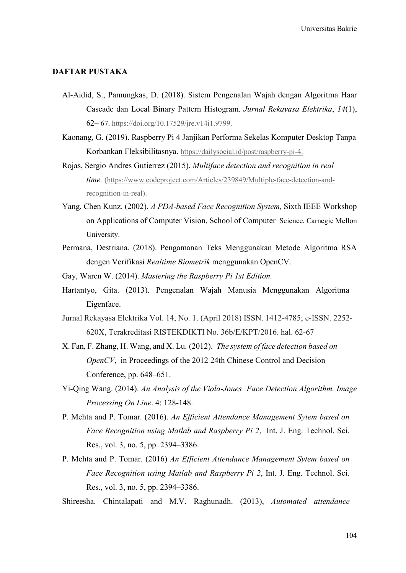## DAFTAR PUSTAKA

- Al-Aidid, S., Pamungkas, D. (2018). Sistem Pengenalan Wajah dengan Algoritma Haar Cascade dan Local Binary Pattern Histogram. Jurnal Rekayasa Elektrika, 14(1), 62– 67. https://doi.org/10.17529/jre.v14i1.9799.
- Kaonang, G. (2019). Raspberry Pi 4 Janjikan Performa Sekelas Komputer Desktop Tanpa Korbankan Fleksibilitasnya. https://dailysocial.id/post/raspberry-pi-4.
- Rojas, Sergio Andres Gutierrez (2015). Multiface detection and recognition in real time. (https://www.codeproject.com/Articles/239849/Multiple-face-detection-andrecognition-in-real).
- Yang, Chen Kunz. (2002). A PDA-based Face Recognition System, Sixth IEEE Workshop on Applications of Computer Vision, School of Computer Science, Carnegie Mellon University.
- Permana, Destriana. (2018). Pengamanan Teks Menggunakan Metode Algoritma RSA dengen Verifikasi Realtime Biometrik menggunakan OpenCV.
- Gay, Waren W. (2014). Mastering the Raspberry Pi 1st Edition.
- Hartantyo, Gita. (2013). Pengenalan Wajah Manusia Menggunakan Algoritma Eigenface.
- Jurnal Rekayasa Elektrika Vol. 14, No. 1. (April 2018) ISSN. 1412-4785; e-ISSN. 2252- 620X, Terakreditasi RISTEKDIKTI No. 36b/E/KPT/2016. hal. 62-67
- X. Fan, F. Zhang, H. Wang, and X. Lu. (2012). The system of face detection based on OpenCV, in Proceedings of the 2012 24th Chinese Control and Decision Conference, pp. 648–651.
- Yi-Qing Wang. (2014). An Analysis of the Viola-Jones Face Detection Algorithm. Image Processing On Line. 4: 128-148.
- P. Mehta and P. Tomar. (2016). An Efficient Attendance Management Sytem based on Face Recognition using Matlab and Raspberry Pi 2, Int. J. Eng. Technol. Sci. Res., vol. 3, no. 5, pp. 2394–3386.
- P. Mehta and P. Tomar. (2016) An Efficient Attendance Management Sytem based on Face Recognition using Matlab and Raspberry Pi 2, Int. J. Eng. Technol. Sci. Res., vol. 3, no. 5, pp. 2394–3386.
- Shireesha. Chintalapati and M.V. Raghunadh. (2013), Automated attendance